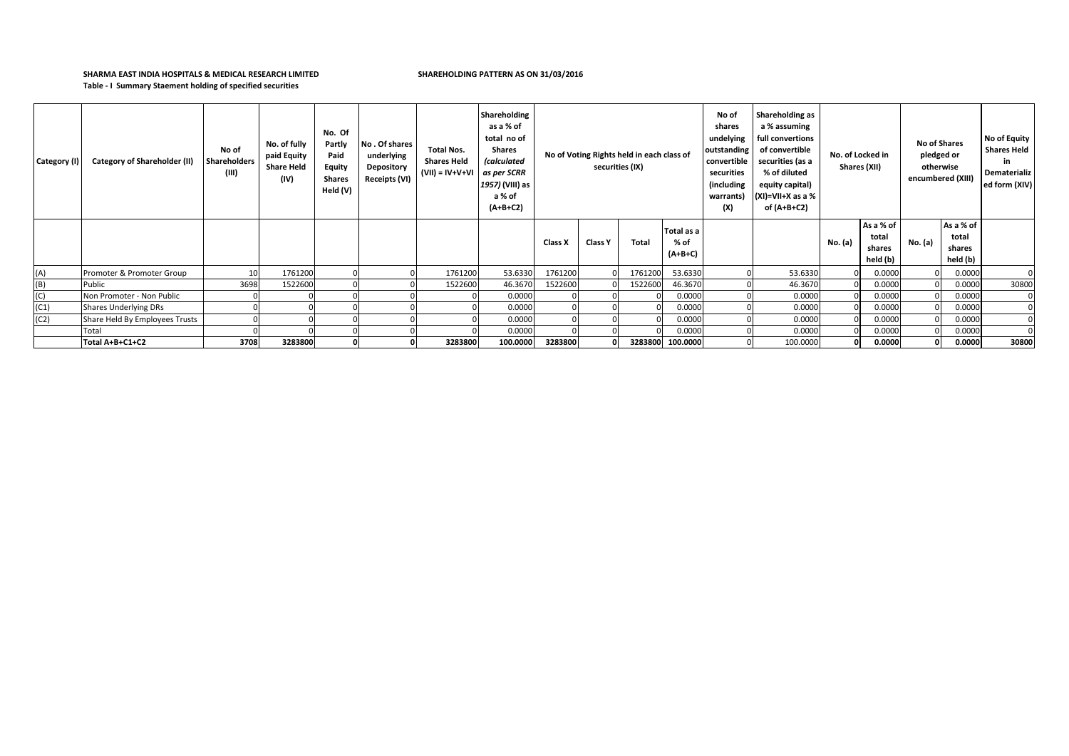## **SHARMA EAST INDIA HOSPITALS & MEDICAL RESEARCH LIMITED SHAREHOLDING PATTERN AS ON 31/03/2016 Table - I Summary Staement holding of specified securities**

| Category (I) | <b>Category of Shareholder (II)</b> | No of<br>Shareholders<br>(III) | No. of fully<br>paid Equity<br><b>Share Held</b><br>(IV) | No. Of<br>Partly<br>Paid<br><b>Equity</b><br><b>Shares</b><br>Held (V) | No. Of shares<br>underlying<br><b>Depository</b><br>Receipts (VI) | <b>Total Nos.</b><br><b>Shares Held</b><br>(VII) = IV+V+VI | Shareholding<br>as a % of<br>total no of<br>Shares<br><i>(calculated</i><br>as per SCRR<br>1957) (VIII) as<br>a % of<br>$(A+B+C2)$ | No of Voting Rights held in each class of<br>securities (IX) |                |         |                                   |  |          |         |                                          |         | Shareholding as<br>No of<br>shares<br>a % assuming<br>undelying<br>full convertions<br>outstanding<br>of convertible<br>convertible<br>securities (as a<br>securities<br>% of diluted<br>(including<br>equity capital)<br>(XI)=VII+X as a %<br>warrants)<br>(X)<br>of $(A+B+C2)$ |       | No. of Locked in<br>Shares (XII) |  | <b>No of Shares</b><br>pledged or<br>otherwise<br>encumbered (XIII) |  | No of Equity<br><b>Shares Held</b><br>in<br>Dematerializ<br>ed form (XIV) |
|--------------|-------------------------------------|--------------------------------|----------------------------------------------------------|------------------------------------------------------------------------|-------------------------------------------------------------------|------------------------------------------------------------|------------------------------------------------------------------------------------------------------------------------------------|--------------------------------------------------------------|----------------|---------|-----------------------------------|--|----------|---------|------------------------------------------|---------|----------------------------------------------------------------------------------------------------------------------------------------------------------------------------------------------------------------------------------------------------------------------------------|-------|----------------------------------|--|---------------------------------------------------------------------|--|---------------------------------------------------------------------------|
|              |                                     |                                |                                                          |                                                                        |                                                                   |                                                            |                                                                                                                                    | Class X                                                      | <b>Class Y</b> | Total   | Total as a<br>$%$ of<br>$(A+B+C)$ |  |          | No. (a) | As a % of<br>total<br>shares<br>held (b) | No. (a) | As a % of<br>total<br>shares<br>held (b)                                                                                                                                                                                                                                         |       |                                  |  |                                                                     |  |                                                                           |
| (A)          | Promoter & Promoter Group           | 10                             | 1761200                                                  |                                                                        |                                                                   | 1761200                                                    | 53.6330                                                                                                                            | 1761200                                                      |                | 1761200 | 53.6330                           |  | 53.6330  |         | 0.0000                                   |         | 0.0000                                                                                                                                                                                                                                                                           |       |                                  |  |                                                                     |  |                                                                           |
| (B)          | Public                              | 3698                           | 1522600                                                  |                                                                        |                                                                   | 1522600                                                    | 46.3670                                                                                                                            | 1522600                                                      |                | 1522600 | 46.3670                           |  | 46.3670  |         | 0.0000                                   |         | 0.0000                                                                                                                                                                                                                                                                           | 30800 |                                  |  |                                                                     |  |                                                                           |
| (C)          | Non Promoter - Non Public           |                                |                                                          |                                                                        |                                                                   |                                                            | 0.0000                                                                                                                             |                                                              |                |         | 0.0000                            |  | 0.0000   |         | 0.0000                                   |         | 0.0000                                                                                                                                                                                                                                                                           | 0     |                                  |  |                                                                     |  |                                                                           |
| (C1)         | Shares Underlying DRs               |                                |                                                          |                                                                        |                                                                   |                                                            | 0.0000                                                                                                                             |                                                              |                |         | 0.0000                            |  | 0.0000   |         | 0.0000                                   |         | 0.0000                                                                                                                                                                                                                                                                           |       |                                  |  |                                                                     |  |                                                                           |
| (C2)         | Share Held By Employees Trusts      |                                |                                                          |                                                                        |                                                                   |                                                            | 0.0000                                                                                                                             |                                                              |                |         | 0.0000                            |  | 0.0000   |         | 0.0000                                   |         | 0.0000                                                                                                                                                                                                                                                                           |       |                                  |  |                                                                     |  |                                                                           |
|              | Total                               |                                |                                                          |                                                                        |                                                                   |                                                            | 0.0000                                                                                                                             |                                                              |                |         | 0.0000                            |  | 0.0000   |         | 0.0000                                   |         | 0.0000                                                                                                                                                                                                                                                                           | 0     |                                  |  |                                                                     |  |                                                                           |
|              | Total A+B+C1+C2                     | 3708                           | 3283800                                                  | ΩL                                                                     |                                                                   | 3283800                                                    | 100.0000                                                                                                                           | 3283800                                                      | ΩI             |         | 3283800 100.0000                  |  | 100.0000 |         | 0.0000                                   |         | 0.0000                                                                                                                                                                                                                                                                           | 30800 |                                  |  |                                                                     |  |                                                                           |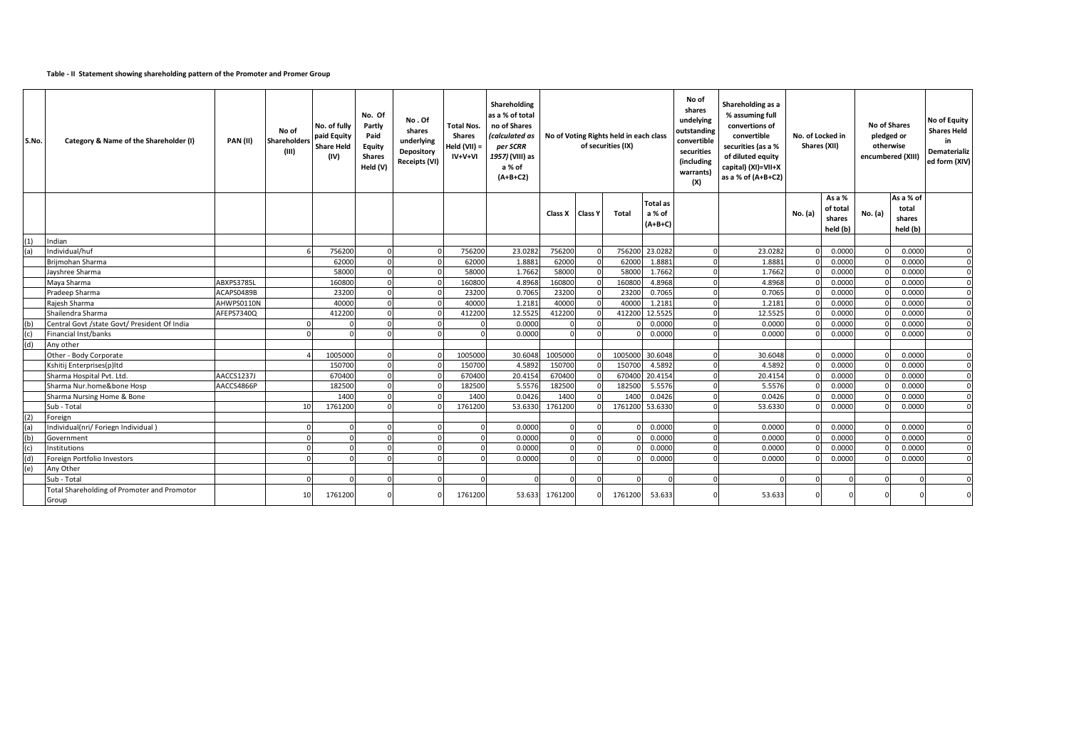## **Table - II Statement showing shareholding pattern of the Promoter and Promer Group**

| S.No. | Category & Name of the Shareholder (I)               | PAN(II)    | No of<br>Shareholder<br>(III) | No. of fully<br>paid Equity<br><b>Share Held</b><br>(IV) | No. Of<br>Partly<br>Paid<br>Equity<br><b>Shares</b><br>Held (V) | No.Of<br>shares<br>underlying<br>Depository<br>Receipts (VI) | Total Nos.<br><b>Shares</b><br>Held (VII) =<br>$IV+V+VI$ | Shareholding<br>as a % of total<br>no of Shares<br>(calculated as<br>per SCRR<br>1957) (VIII) as<br>a % of<br>$(A+B+C2)$ | No of Voting Rights held in each class<br>of securities (IX) |                 | No of<br>shares<br>undelying<br>outstanding<br>convertible<br>securities<br>(including<br>warrants)<br>(X) | Shareholding as a<br>% assuming full<br>convertions of<br>convertible<br>securities (as a %<br>of diluted equity<br>capital) (XI)=VII+X<br>as a % of (A+B+C2) | No. of Locked in<br>Shares (XII) |         | <b>No of Shares</b><br>pledged or<br>otherwise<br>encumbered (XIII) |                    | No of Equity<br><b>Shares Held</b><br>in<br><b>Dematerializ</b><br>ed form (XIV) |                    |             |
|-------|------------------------------------------------------|------------|-------------------------------|----------------------------------------------------------|-----------------------------------------------------------------|--------------------------------------------------------------|----------------------------------------------------------|--------------------------------------------------------------------------------------------------------------------------|--------------------------------------------------------------|-----------------|------------------------------------------------------------------------------------------------------------|---------------------------------------------------------------------------------------------------------------------------------------------------------------|----------------------------------|---------|---------------------------------------------------------------------|--------------------|----------------------------------------------------------------------------------|--------------------|-------------|
|       |                                                      |            |                               |                                                          |                                                                 |                                                              |                                                          |                                                                                                                          |                                                              |                 | <b>Total</b> as                                                                                            |                                                                                                                                                               |                                  |         |                                                                     | As a %<br>of total |                                                                                  | As a % of<br>total |             |
|       |                                                      |            |                               |                                                          |                                                                 |                                                              |                                                          |                                                                                                                          |                                                              | Class X Class Y | Total                                                                                                      | a % of                                                                                                                                                        |                                  |         | No. (a)                                                             | shares             | No. (a)                                                                          | shares             |             |
|       |                                                      |            |                               |                                                          |                                                                 |                                                              |                                                          |                                                                                                                          |                                                              |                 |                                                                                                            | $(A+B+C)$                                                                                                                                                     |                                  |         |                                                                     | held (b)           |                                                                                  | held (b)           |             |
| (1)   | ndian                                                |            |                               |                                                          |                                                                 |                                                              |                                                          |                                                                                                                          |                                                              |                 |                                                                                                            |                                                                                                                                                               |                                  |         |                                                                     |                    |                                                                                  |                    |             |
| (a)   | Individual/huf                                       |            |                               | 756200                                                   |                                                                 |                                                              | 756200                                                   | 23.0282                                                                                                                  | 756200                                                       |                 |                                                                                                            | 756200 23.0282                                                                                                                                                |                                  | 23.0282 |                                                                     | 0.0000             |                                                                                  | 0.0000             |             |
|       | Brijmohan Sharma                                     |            |                               | 62000                                                    |                                                                 |                                                              | 62000                                                    | 1.888                                                                                                                    | 62000                                                        |                 | 6200                                                                                                       | 1.8881                                                                                                                                                        |                                  | 1.8881  |                                                                     | 0.0000             |                                                                                  | 0.0000             | $\Omega$    |
|       | Javshree Sharma                                      |            |                               | 58000                                                    |                                                                 |                                                              | 58000                                                    | 1.7662                                                                                                                   | 58000                                                        |                 | 5800                                                                                                       | 1.7662                                                                                                                                                        |                                  | 1.7662  |                                                                     | 0.0000             |                                                                                  | 0.0000             |             |
|       | Maya Sharma                                          | ABXPS3785L |                               | 160800                                                   |                                                                 |                                                              | 160800                                                   | 4.8968                                                                                                                   | 160800                                                       |                 | 16080                                                                                                      | 4.8968                                                                                                                                                        |                                  | 4.8968  |                                                                     | 0.0000             |                                                                                  | 0.0000             | $\Omega$    |
|       | Pradeep Sharma                                       | ACAPS0489B |                               | 23200                                                    |                                                                 |                                                              | 23200                                                    | 0.7065                                                                                                                   | 23200                                                        |                 | 2320                                                                                                       | 0.7065                                                                                                                                                        |                                  | 0.7065  |                                                                     | 0.0000             |                                                                                  | 0.0000             | $\Omega$    |
|       | Rajesh Sharma                                        | AHWPS0110N |                               | 40000                                                    |                                                                 |                                                              | 40000                                                    | 1.2181                                                                                                                   | 40000                                                        |                 | 4000                                                                                                       | 1.2181                                                                                                                                                        |                                  | 1.2181  |                                                                     | 0.0000             |                                                                                  | 0.0000             | $\Omega$    |
|       | Shailendra Sharma                                    | AFEPS7340Q |                               | 412200                                                   |                                                                 |                                                              | 412200                                                   | 12.5525                                                                                                                  | 412200                                                       |                 | 412200                                                                                                     | 12.5525                                                                                                                                                       |                                  | 12.5525 |                                                                     | 0.0000             |                                                                                  | 0.0000             | $\Omega$    |
| (b)   | Central Govt /state Govt/ President Of India         |            |                               |                                                          |                                                                 |                                                              | $\Omega$                                                 | 0.0000                                                                                                                   |                                                              |                 |                                                                                                            | 0.0000                                                                                                                                                        |                                  | 0.0000  |                                                                     | 0.0000             |                                                                                  | 0.0000             | $\Omega$    |
| (c)   | Financial Inst/banks                                 |            |                               |                                                          |                                                                 |                                                              | $\Omega$                                                 | 0.0000                                                                                                                   |                                                              |                 |                                                                                                            | 0.0000                                                                                                                                                        |                                  | 0.0000  |                                                                     | 0.0000             |                                                                                  | 0.0000             |             |
|       | Any other                                            |            |                               |                                                          |                                                                 |                                                              |                                                          |                                                                                                                          |                                                              |                 |                                                                                                            |                                                                                                                                                               |                                  |         |                                                                     |                    |                                                                                  |                    |             |
|       | Other - Body Corporate                               |            |                               | 1005000                                                  |                                                                 |                                                              | 1005000                                                  | 30.6048                                                                                                                  | 1005000                                                      |                 | 1005000                                                                                                    | 30.6048                                                                                                                                                       |                                  | 30.6048 |                                                                     | 0.0000             |                                                                                  | 0.0000             | $\Omega$    |
|       | Kshitij Enterprises(p)ltd                            |            |                               | 150700                                                   |                                                                 |                                                              | 150700                                                   | 4.5892                                                                                                                   | 150700                                                       |                 | 15070                                                                                                      | 4.5892                                                                                                                                                        |                                  | 4.5892  |                                                                     | 0.0000             |                                                                                  | 0.0000             | $\Omega$    |
|       | Sharma Hospital Pvt. Ltd.                            | AACCS1237J |                               | 670400                                                   |                                                                 |                                                              | 670400                                                   | 20.4154                                                                                                                  | 670400                                                       |                 | 67040                                                                                                      | 20.4154                                                                                                                                                       |                                  | 20.4154 |                                                                     | 0.0000             |                                                                                  | 0.0000             | $\mathbf 0$ |
|       | Sharma Nur.home&bone Hosp                            | AACCS4866P |                               | 182500                                                   |                                                                 |                                                              | 182500                                                   | 5.5576                                                                                                                   | 182500                                                       |                 | 18250                                                                                                      | 5.5576                                                                                                                                                        |                                  | 5.5576  |                                                                     | 0.0000             |                                                                                  | 0.0000             | $\Omega$    |
|       | Sharma Nursing Home & Bone                           |            |                               | 1400                                                     |                                                                 |                                                              | 1400                                                     | 0.0426                                                                                                                   | 1400                                                         |                 | 140                                                                                                        | 0.0426                                                                                                                                                        |                                  | 0.0426  |                                                                     | 0.0000             |                                                                                  | 0.0000             | $\Omega$    |
|       | Sub - Total                                          |            | 10 <sup>1</sup>               | 1761200                                                  |                                                                 |                                                              | 1761200                                                  | 53.6330                                                                                                                  | 1761200                                                      |                 | 1761200                                                                                                    | 53.6330                                                                                                                                                       |                                  | 53.6330 |                                                                     | 0.0000             |                                                                                  | 0.0000             | $\Omega$    |
| (2)   | Foreign                                              |            |                               |                                                          |                                                                 |                                                              |                                                          |                                                                                                                          |                                                              |                 |                                                                                                            |                                                                                                                                                               |                                  |         |                                                                     |                    |                                                                                  |                    |             |
|       | Individual(nri/ Foriegn Individual)                  |            |                               |                                                          |                                                                 |                                                              |                                                          | 0.0000                                                                                                                   |                                                              |                 |                                                                                                            | 0.0000                                                                                                                                                        |                                  | 0.0000  |                                                                     | 0.0000             |                                                                                  | 0.0000             |             |
|       | Government                                           |            | $\Omega$                      |                                                          |                                                                 |                                                              |                                                          | 0.0000                                                                                                                   |                                                              |                 |                                                                                                            | 0.0000                                                                                                                                                        |                                  | 0.0000  |                                                                     | 0.0000             |                                                                                  | 0.0000             | $\Omega$    |
| (c)   | Institutions                                         |            | $\Omega$                      |                                                          |                                                                 |                                                              |                                                          | 0.0000                                                                                                                   |                                                              |                 |                                                                                                            | 0.0000                                                                                                                                                        |                                  | 0.0000  |                                                                     | 0.0000             |                                                                                  | 0.0000             | $\Omega$    |
| (d)   | Foreign Portfolio Investors                          |            |                               |                                                          |                                                                 |                                                              |                                                          | 0.0000                                                                                                                   |                                                              |                 |                                                                                                            | 0.0000                                                                                                                                                        |                                  | 0.0000  |                                                                     | 0.0000             |                                                                                  | 0.0000             |             |
| (e)   | Any Other                                            |            |                               |                                                          |                                                                 |                                                              |                                                          |                                                                                                                          |                                                              |                 |                                                                                                            |                                                                                                                                                               |                                  |         |                                                                     |                    |                                                                                  |                    |             |
|       | Sub - Total                                          |            | $\Omega$                      |                                                          |                                                                 |                                                              |                                                          |                                                                                                                          |                                                              |                 |                                                                                                            |                                                                                                                                                               |                                  |         |                                                                     |                    |                                                                                  | $\Omega$           |             |
|       | Total Shareholding of Promoter and Promotor<br>Group |            | 10                            | 1761200                                                  |                                                                 |                                                              | 1761200                                                  | 53.633                                                                                                                   | 1761200                                                      |                 | 1761200                                                                                                    | 53.633                                                                                                                                                        |                                  | 53.633  |                                                                     |                    |                                                                                  | $\Omega$           |             |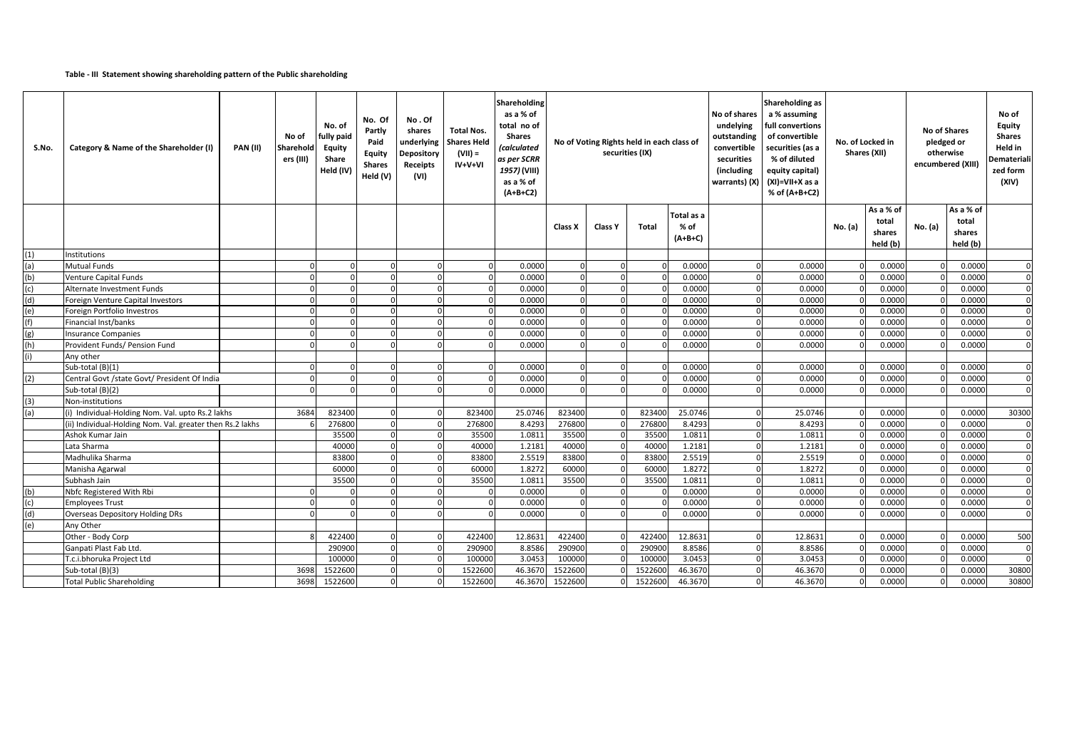## **Table - III Statement showing shareholding pattern of the Public shareholding**

| S.No.      | Category & Name of the Shareholder (I)                    | <b>PAN (II)</b> | No of<br>Sharehold<br>ers (III) | No. of<br>fully paid<br>Equity<br>Share<br>Held (IV) | No. Of<br>Partly<br>Paid<br>Equity<br><b>Shares</b><br>Held (V) | No.Of<br>shares<br>underlying<br>Depository<br><b>Receipts</b><br>(VI) | <b>Total Nos.</b><br><b>Shares Held</b><br>$(VII) =$<br>$IV+V+VI$ | Shareholding<br>as a % of<br>total no of<br>Shares<br>(calculated<br>as per SCRR<br>1957) (VIII)<br>as a % of<br>$(A+B+C2)$ | No of Voting Rights held in each class of<br>securities (IX) |                |         | <b>Shareholding as</b><br>a % assuming<br>No of shares<br>undelying<br>full convertions<br>outstanding<br>of convertible<br>convertible<br>securities (as a<br>securities<br>% of diluted<br>(including<br>equity capital)<br>warrants) (X)<br>(XI)=VII+X as a<br>% of (A+B+C2) |          | No. of Locked in<br>Shares (XII) |         | <b>No of Shares</b><br>pledged or<br>otherwise<br>encumbered (XIII) |         | No of<br>Equity<br><b>Shares</b><br>Held in<br><b>Demateriali</b><br>zed form<br>(XIV) |              |
|------------|-----------------------------------------------------------|-----------------|---------------------------------|------------------------------------------------------|-----------------------------------------------------------------|------------------------------------------------------------------------|-------------------------------------------------------------------|-----------------------------------------------------------------------------------------------------------------------------|--------------------------------------------------------------|----------------|---------|---------------------------------------------------------------------------------------------------------------------------------------------------------------------------------------------------------------------------------------------------------------------------------|----------|----------------------------------|---------|---------------------------------------------------------------------|---------|----------------------------------------------------------------------------------------|--------------|
|            |                                                           |                 |                                 |                                                      |                                                                 |                                                                        |                                                                   |                                                                                                                             | Class X                                                      | <b>Class Y</b> | Total   | Total as a<br>$%$ of<br>$(A+B+C)$                                                                                                                                                                                                                                               |          |                                  | No. (a) | As a % of<br>total<br>shares                                        | No. (a) | As a % of<br>total<br>shares                                                           |              |
|            |                                                           |                 |                                 |                                                      |                                                                 |                                                                        |                                                                   |                                                                                                                             |                                                              |                |         |                                                                                                                                                                                                                                                                                 |          |                                  |         | held (b)                                                            |         | held (b)                                                                               |              |
| (1)<br>(a) | Institutions<br><b>Mutual Funds</b>                       |                 |                                 | $\Omega$                                             |                                                                 |                                                                        | $\Omega$                                                          | 0.0000                                                                                                                      |                                                              | $\Omega$       |         | 0.0000                                                                                                                                                                                                                                                                          | $\Omega$ | 0.0000                           |         | 0.0000                                                              |         | 0.0000                                                                                 | $\Omega$     |
| (b)        | Venture Capital Funds                                     |                 |                                 |                                                      |                                                                 |                                                                        | $\Omega$                                                          | 0.0000                                                                                                                      |                                                              | $\Omega$       |         | 0.0000                                                                                                                                                                                                                                                                          |          | 0.0000                           |         | 0.0000                                                              |         | 0.0000                                                                                 | $\Omega$     |
| (c)        | Alternate Investment Funds                                |                 |                                 |                                                      |                                                                 | $\Omega$                                                               | $\mathbf{0}$                                                      | 0.0000                                                                                                                      | $\Omega$                                                     | $\overline{0}$ |         | 0.0000                                                                                                                                                                                                                                                                          | $\Omega$ | 0.0000                           |         | 0.0000                                                              |         | 0.0000                                                                                 | $\Omega$     |
| (d)        | Foreign Venture Capital Investors                         |                 |                                 |                                                      |                                                                 | $\Omega$                                                               | $\overline{0}$                                                    | 0.000C                                                                                                                      | $\Omega$                                                     | $\Omega$       |         | 0.0000                                                                                                                                                                                                                                                                          | $\Omega$ | 0.0000                           |         | 0.0000                                                              |         | 0.0000                                                                                 | $\Omega$     |
| (e)        | Foreign Portfolio Investros                               |                 |                                 |                                                      |                                                                 |                                                                        | $\Omega$                                                          | 0.0000                                                                                                                      |                                                              | $\Omega$       |         | 0.0000                                                                                                                                                                                                                                                                          | $\Omega$ | 0.0000                           |         | 0.0000                                                              |         | 0.0000                                                                                 | $\Omega$     |
| (f)        | Financial Inst/banks                                      |                 |                                 |                                                      |                                                                 | $\Omega$                                                               | $\Omega$                                                          | 0.0000                                                                                                                      |                                                              | $\Omega$       |         | 0.0000                                                                                                                                                                                                                                                                          | $\Omega$ | 0.0000                           |         | 0.0000                                                              |         | 0.0000                                                                                 | $\Omega$     |
| (g)        | <b>Insurance Companies</b>                                |                 |                                 |                                                      |                                                                 |                                                                        | $\Omega$                                                          | 0.0000                                                                                                                      |                                                              | $\Omega$       |         | 0.0000                                                                                                                                                                                                                                                                          |          | 0.0000                           |         | 0.0000                                                              |         | 0.0000                                                                                 | $\Omega$     |
| (h)        | Provident Funds/ Pension Fund                             |                 |                                 |                                                      |                                                                 |                                                                        | $\Omega$                                                          | 0.0000                                                                                                                      |                                                              | $\Omega$       |         | 0.0000                                                                                                                                                                                                                                                                          |          | 0.0000                           |         | 0.0000                                                              |         | 0.0000                                                                                 | $\Omega$     |
|            | Any other                                                 |                 |                                 |                                                      |                                                                 |                                                                        |                                                                   |                                                                                                                             |                                                              |                |         |                                                                                                                                                                                                                                                                                 |          |                                  |         |                                                                     |         |                                                                                        |              |
|            | Sub-total (B)(1)                                          |                 |                                 |                                                      |                                                                 |                                                                        | $\Omega$                                                          | 0.0000                                                                                                                      |                                                              |                |         | 0.0000                                                                                                                                                                                                                                                                          |          | 0.0000                           |         | 0.0000                                                              |         | 0.0000                                                                                 |              |
| (2)        | Central Govt / state Govt/ President Of India             |                 | $\cap$                          | $\Omega$                                             |                                                                 | $\Omega$                                                               | $\Omega$                                                          | 0.0000                                                                                                                      |                                                              | $\overline{0}$ |         | 0.0000                                                                                                                                                                                                                                                                          | $\Omega$ | 0.0000                           |         | 0.0000                                                              |         | 0.0000                                                                                 | $\mathbf{0}$ |
|            | Sub-total (B)(2)                                          |                 |                                 |                                                      |                                                                 |                                                                        | $\Omega$                                                          | 0.0000                                                                                                                      |                                                              |                |         | 0.0000                                                                                                                                                                                                                                                                          |          | 0.0000                           |         | 0.0000                                                              |         | 0.0000                                                                                 | $\Omega$     |
| (3)        | Non-institutions                                          |                 |                                 |                                                      |                                                                 |                                                                        |                                                                   |                                                                                                                             |                                                              |                |         |                                                                                                                                                                                                                                                                                 |          |                                  |         |                                                                     |         |                                                                                        |              |
| (a)        | (i) Individual-Holding Nom. Val. upto Rs.2 lakhs          |                 | 3684                            | 823400                                               |                                                                 |                                                                        | 823400                                                            | 25.0746                                                                                                                     | 823400                                                       |                | 823400  | 25.0746                                                                                                                                                                                                                                                                         |          | 25.0746                          |         | 0.0000                                                              |         | 0.0000                                                                                 | 30300        |
|            | (ii) Individual-Holding Nom. Val. greater then Rs.2 lakhs |                 |                                 | 276800                                               |                                                                 |                                                                        | 276800                                                            | 8.4293                                                                                                                      | 276800                                                       |                | 276800  | 8.4293                                                                                                                                                                                                                                                                          |          | 8.4293                           |         | 0.0000                                                              |         | 0.0000                                                                                 | $\Omega$     |
|            | Ashok Kumar Jain                                          |                 |                                 | 35500                                                | $\Omega$                                                        | $\Omega$                                                               | 35500                                                             | 1.0811                                                                                                                      | 35500                                                        | $\Omega$       | 35500   | 1.0811                                                                                                                                                                                                                                                                          | $\Omega$ | 1.0811                           |         | 0.0000                                                              |         | 0.0000                                                                                 | $\Omega$     |
|            | Lata Sharma                                               |                 |                                 | 40000                                                |                                                                 | $\Omega$                                                               | 40000                                                             | 1.2181                                                                                                                      | 40000                                                        | $\Omega$       | 40000   | 1.2181                                                                                                                                                                                                                                                                          | $\Omega$ | 1.2181                           |         | 0.0000                                                              |         | 0.0000                                                                                 | $\mathbf{0}$ |
|            | Madhulika Sharma                                          |                 |                                 | 83800                                                |                                                                 |                                                                        | 83800                                                             | 2.5519                                                                                                                      | 83800                                                        | $\Omega$       | 83800   | 2.5519                                                                                                                                                                                                                                                                          |          | 2.5519                           |         | 0.0000                                                              |         | 0.0000                                                                                 | $\Omega$     |
|            | Manisha Agarwal                                           |                 |                                 | 60000                                                |                                                                 | $\Omega$                                                               | 60000                                                             | 1.8272                                                                                                                      | 60000                                                        | $\Omega$       | 60000   | 1.8272                                                                                                                                                                                                                                                                          | $\Omega$ | 1.8272                           |         | 0.0000                                                              |         | 0.0000                                                                                 | $\Omega$     |
|            | Subhash Jain                                              |                 |                                 | 35500                                                |                                                                 |                                                                        | 35500                                                             | 1.0811                                                                                                                      | 35500                                                        |                | 35500   | 1.0811                                                                                                                                                                                                                                                                          | $\Omega$ | 1.0811                           |         | 0.0000                                                              |         | 0.000                                                                                  | $\Omega$     |
| (b)        | Nbfc Registered With Rbi                                  |                 |                                 |                                                      |                                                                 |                                                                        | $\Omega$                                                          | 0.0000                                                                                                                      |                                                              | $\Omega$       |         | 0.0000                                                                                                                                                                                                                                                                          | $\Omega$ | 0.0000                           |         | 0.0000                                                              |         | 0.0000                                                                                 | $\Omega$     |
| (c)        | <b>Employees Trust</b>                                    |                 |                                 |                                                      |                                                                 |                                                                        | $\Omega$                                                          | 0.0000                                                                                                                      |                                                              | $\Omega$       |         | 0.0000                                                                                                                                                                                                                                                                          |          | 0.0000                           |         | 0.0000                                                              |         | 0.000                                                                                  | $\Omega$     |
| (d)        | <b>Overseas Depository Holding DRs</b>                    |                 |                                 |                                                      |                                                                 |                                                                        | $\Omega$                                                          | 0.0000                                                                                                                      |                                                              | $\Omega$       |         | 0.0000                                                                                                                                                                                                                                                                          |          | 0.0000                           |         | 0.0000                                                              |         | 0.0000                                                                                 |              |
| (e)        | Any Other                                                 |                 |                                 |                                                      |                                                                 |                                                                        |                                                                   |                                                                                                                             |                                                              |                |         |                                                                                                                                                                                                                                                                                 |          |                                  |         |                                                                     |         |                                                                                        |              |
|            | Other - Body Corp                                         |                 |                                 | 422400                                               |                                                                 |                                                                        | 422400                                                            | 12.863                                                                                                                      | 422400                                                       |                | 422400  | 12.8631                                                                                                                                                                                                                                                                         | $\Omega$ | 12.8631                          |         | 0.0000                                                              |         | 0.0000                                                                                 | 500          |
|            | Ganpati Plast Fab Ltd.                                    |                 |                                 | 290900                                               |                                                                 |                                                                        | 290900                                                            | 8.8586                                                                                                                      | 290900                                                       |                | 290900  | 8.8586                                                                                                                                                                                                                                                                          | $\Omega$ | 8.8586                           |         | 0.0000                                                              |         | 0.0000                                                                                 | $\Omega$     |
|            | T.c.i.bhoruka Project Ltd                                 |                 |                                 | 100000                                               |                                                                 | $\Omega$                                                               | 100000                                                            | 3.0453                                                                                                                      | 100000                                                       |                | 100000  | 3.0453                                                                                                                                                                                                                                                                          | $\Omega$ | 3.0453                           |         | 0.0000                                                              |         | 0.0000                                                                                 | $\Omega$     |
|            | Sub-total (B)(3)                                          |                 | 3698                            | 1522600                                              |                                                                 |                                                                        | 1522600                                                           | 46.367                                                                                                                      | 1522600                                                      |                | 1522600 | 46.3670                                                                                                                                                                                                                                                                         |          | 46.3670                          |         | 0.0000                                                              |         | 0.000                                                                                  | 30800        |
|            | <b>Total Public Shareholding</b>                          |                 | 3698                            | 1522600                                              |                                                                 |                                                                        | 1522600                                                           | 46.3670                                                                                                                     | 1522600                                                      |                | 1522600 | 46.3670                                                                                                                                                                                                                                                                         |          | 46.3670                          |         | 0.0000                                                              |         | 0.0000                                                                                 | 30800        |